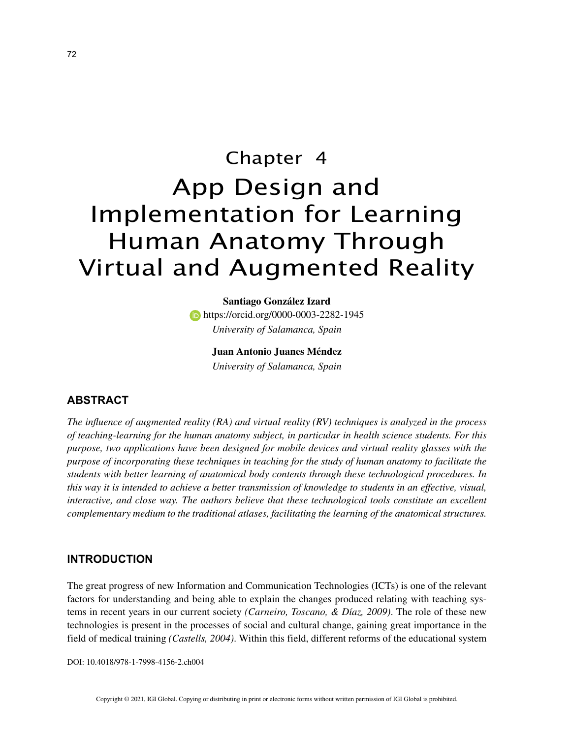# Chapter 4 App Design and Implementation for Learning Human Anatomy Through Virtual and Augmented Reality

**Santiago González Izard https://orcid.org/0000-0003-2282-1945** *University of Salamanca, Spain*

**Juan Antonio Juanes Méndez**

*University of Salamanca, Spain*

## **ABSTRACT**

*The influence of augmented reality (RA) and virtual reality (RV) techniques is analyzed in the process of teaching-learning for the human anatomy subject, in particular in health science students. For this purpose, two applications have been designed for mobile devices and virtual reality glasses with the purpose of incorporating these techniques in teaching for the study of human anatomy to facilitate the students with better learning of anatomical body contents through these technological procedures. In this way it is intended to achieve a better transmission of knowledge to students in an effective, visual, interactive, and close way. The authors believe that these technological tools constitute an excellent complementary medium to the traditional atlases, facilitating the learning of the anatomical structures.*

## **INTRODUCTION**

The great progress of new Information and Communication Technologies (ICTs) is one of the relevant factors for understanding and being able to explain the changes produced relating with teaching systems in recent years in our current society *(Carneiro, Toscano, & Díaz, 2009)*. The role of these new technologies is present in the processes of social and cultural change, gaining great importance in the field of medical training *(Castells, 2004)*. Within this field, different reforms of the educational system

DOI: 10.4018/978-1-7998-4156-2.ch004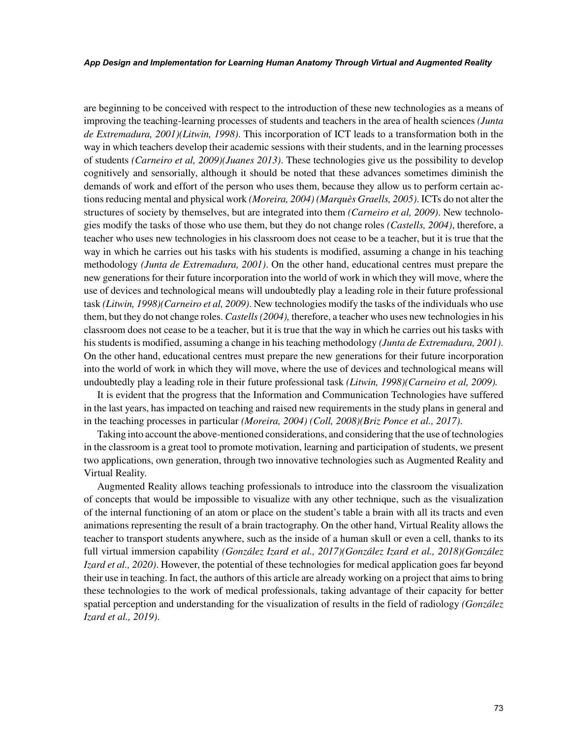#### *App Design and Implementation for Learning Human Anatomy Through Virtual and Augmented Reality*

are beginning to be conceived with respect to the introduction of these new technologies as a means of improving the teaching-learning processes of students and teachers in the area of health sciences *(Junta de Extremadura, 2001)(Litwin, 1998)*. This incorporation of ICT leads to a transformation both in the way in which teachers develop their academic sessions with their students, and in the learning processes of students *(Carneiro et al, 2009)(Juanes 2013)*. These technologies give us the possibility to develop cognitively and sensorially, although it should be noted that these advances sometimes diminish the demands of work and effort of the person who uses them, because they allow us to perform certain actions reducing mental and physical work *(Moreira, 2004) (Marquès Graells, 2005)*. ICTs do not alter the structures of society by themselves, but are integrated into them *(Carneiro et al, 2009)*. New technologies modify the tasks of those who use them, but they do not change roles *(Castells, 2004)*, therefore, a teacher who uses new technologies in his classroom does not cease to be a teacher, but it is true that the way in which he carries out his tasks with his students is modified, assuming a change in his teaching methodology *(Junta de Extremadura, 2001)*. On the other hand, educational centres must prepare the new generations for their future incorporation into the world of work in which they will move, where the use of devices and technological means will undoubtedly play a leading role in their future professional task *(Litwin, 1998)(Carneiro et al, 2009)*. New technologies modify the tasks of the individuals who use them, but they do not change roles. *Castells (2004),* therefore, a teacher who uses new technologies in his classroom does not cease to be a teacher, but it is true that the way in which he carries out his tasks with his students is modified, assuming a change in his teaching methodology *(Junta de Extremadura, 2001)*. On the other hand, educational centres must prepare the new generations for their future incorporation into the world of work in which they will move, where the use of devices and technological means will undoubtedly play a leading role in their future professional task *(Litwin, 1998)(Carneiro et al, 2009).*

It is evident that the progress that the Information and Communication Technologies have suffered in the last years, has impacted on teaching and raised new requirements in the study plans in general and in the teaching processes in particular *(Moreira, 2004) (Coll, 2008)(Briz Ponce et al., 2017)*.

Taking into account the above-mentioned considerations, and considering that the use of technologies in the classroom is a great tool to promote motivation, learning and participation of students, we present two applications, own generation, through two innovative technologies such as Augmented Reality and Virtual Reality.

Augmented Reality allows teaching professionals to introduce into the classroom the visualization of concepts that would be impossible to visualize with any other technique, such as the visualization of the internal functioning of an atom or place on the student's table a brain with all its tracts and even animations representing the result of a brain tractography. On the other hand, Virtual Reality allows the teacher to transport students anywhere, such as the inside of a human skull or even a cell, thanks to its full virtual immersion capability *(González Izard et al., 2017)(González Izard et al., 2018)(González Izard et al., 2020)*. However, the potential of these technologies for medical application goes far beyond their use in teaching. In fact, the authors of this article are already working on a project that aims to bring these technologies to the work of medical professionals, taking advantage of their capacity for better spatial perception and understanding for the visualization of results in the field of radiology *(González Izard et al., 2019)*.